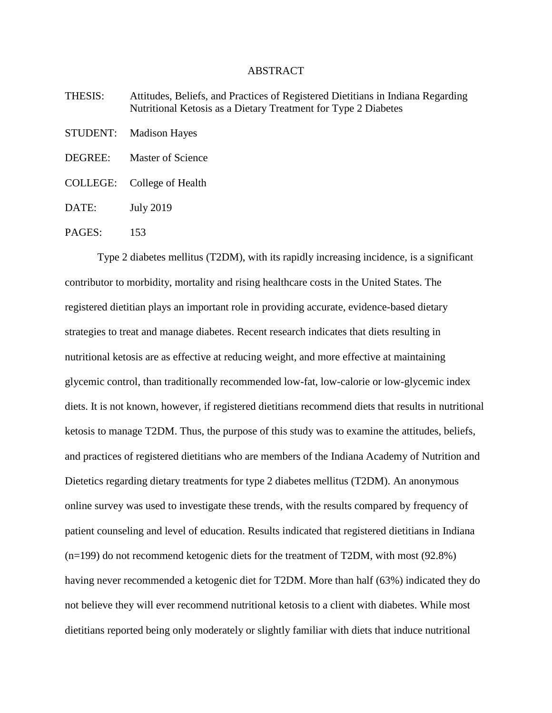## ABSTRACT

| THESIS:  | Attitudes, Beliefs, and Practices of Registered Dietitians in Indiana Regarding<br>Nutritional Ketosis as a Dietary Treatment for Type 2 Diabetes |
|----------|---------------------------------------------------------------------------------------------------------------------------------------------------|
| STUDENT: | <b>Madison Hayes</b>                                                                                                                              |
| DEGREE:  | Master of Science                                                                                                                                 |
|          | COLLEGE: College of Health                                                                                                                        |
| DATE:    | <b>July 2019</b>                                                                                                                                  |
| PAGES:   | 153                                                                                                                                               |

Type 2 diabetes mellitus (T2DM), with its rapidly increasing incidence, is a significant contributor to morbidity, mortality and rising healthcare costs in the United States. The registered dietitian plays an important role in providing accurate, evidence-based dietary strategies to treat and manage diabetes. Recent research indicates that diets resulting in nutritional ketosis are as effective at reducing weight, and more effective at maintaining glycemic control, than traditionally recommended low-fat, low-calorie or low-glycemic index diets. It is not known, however, if registered dietitians recommend diets that results in nutritional ketosis to manage T2DM. Thus, the purpose of this study was to examine the attitudes, beliefs, and practices of registered dietitians who are members of the Indiana Academy of Nutrition and Dietetics regarding dietary treatments for type 2 diabetes mellitus (T2DM). An anonymous online survey was used to investigate these trends, with the results compared by frequency of patient counseling and level of education. Results indicated that registered dietitians in Indiana (n=199) do not recommend ketogenic diets for the treatment of T2DM, with most (92.8%) having never recommended a ketogenic diet for T2DM. More than half (63%) indicated they do not believe they will ever recommend nutritional ketosis to a client with diabetes. While most dietitians reported being only moderately or slightly familiar with diets that induce nutritional